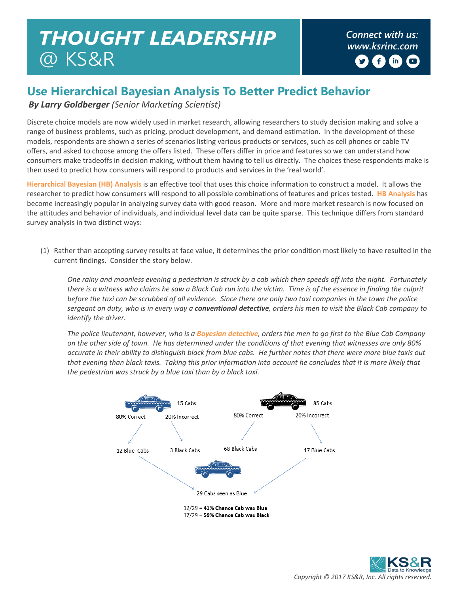## *Connect with us: THOUGHT LEADERSHIP [www.ksrinc.com](http://www.ksrinc.com/)* @ KS&R

 $\mathbf{f}$  $(m)$  $\Box$ 

## **Use Hierarchical Bayesian Analysis To Better Predict Behavior**

*By Larry Goldberger (Senior Marketing Scientist)* 

Discrete choice models are now widely used in market research, allowing researchers to study decision making and solve a range of business problems, such as pricing, product development, and demand estimation. In the development of these models, respondents are shown a series of scenarios listing various products or services, such as cell phones or cable TV offers, and asked to choose among the offers listed. These offers differ in price and features so we can understand how consumers make tradeoffs in decision making, without them having to tell us directly. The choices these respondents make is then used to predict how consumers will respond to products and services in the 'real world'.

**Hierarchical Bayesian (HB) Analysis** is an effective tool that uses this choice information to construct a model. It allows the researcher to predict how consumers will respond to all possible combinations of features and prices tested. **HB Analysis** has become increasingly popular in analyzing survey data with good reason. More and more market research is now focused on the attitudes and behavior of individuals, and individual level data can be quite sparse. This technique differs from standard survey analysis in two distinct ways:

(1) Rather than accepting survey results at face value, it determines the prior condition most likely to have resulted in the current findings. Consider the story below.

*One rainy and moonless evening a pedestrian is struck by a cab which then speeds off into the night. Fortunately there is a witness who claims he saw a Black Cab run into the victim. Time is of the essence in finding the culprit before the taxi can be scrubbed of all evidence. Since there are only two taxi companies in the town the police sergeant on duty, who is in every way a conventional detective, orders his men to visit the Black Cab company to identify the driver.* 

*The police lieutenant, however, who is a Bayesian detective, orders the men to go first to the Blue Cab Company on the other side of town. He has determined under the conditions of that evening that witnesses are only 80% accurate in their ability to distinguish black from blue cabs. He further notes that there were more blue taxis out*  that evening than black taxis. Taking this prior information into account he concludes that it is more likely that *the pedestrian was struck by a blue taxi than by a black taxi.*